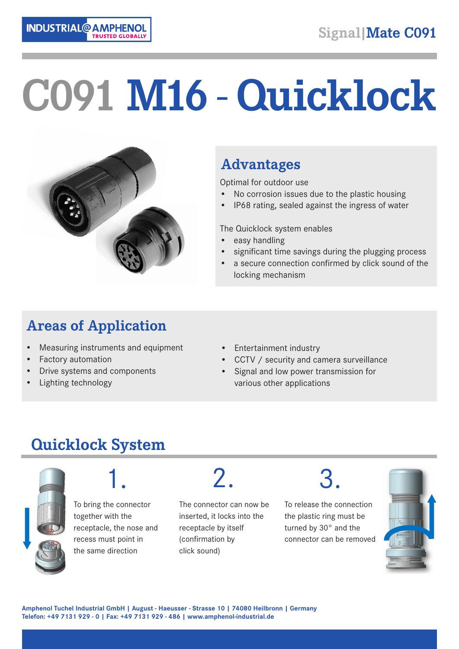

# **C091 M16 - Quicklock**



#### **Advantages**

Optimal for outdoor use

- No corrosion issues due to the plastic housing
- IP68 rating, sealed against the ingress of water

The Quicklock system enables

- easy handling
- significant time savings during the plugging process
- a secure connection confirmed by click sound of the locking mechanism

### **Areas of Application**

- Measuring instruments and equipment
- Factory automation
- Drive systems and components
- Lighting technology
- Entertainment industry
- CCTV / security and camera surveillance
- Signal and low power transmission for various other applications

## **Quicklock System**



1.

To bring the connector together with the receptacle, the nose and recess must point in the same direction

2.

The connector can now be inserted, it locks into the receptacle by itself (confirmation by click sound)

# 3.

To release the connection the plastic ring must be turned by 30° and the connector can be removed